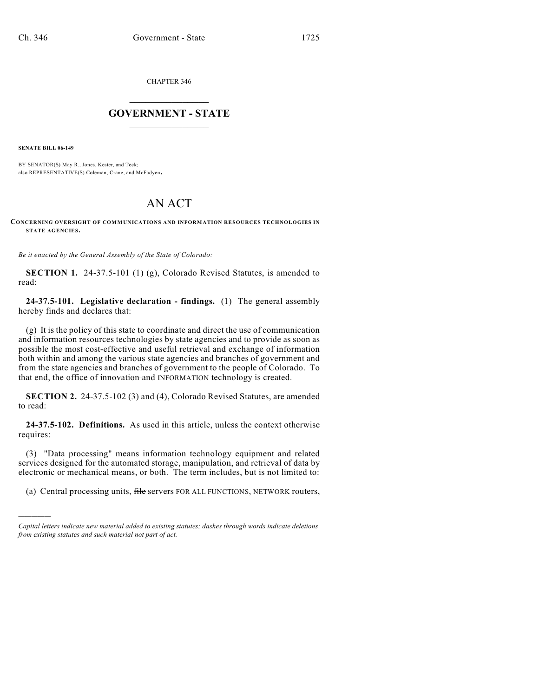CHAPTER 346

## $\mathcal{L}_\text{max}$  . The set of the set of the set of the set of the set of the set of the set of the set of the set of the set of the set of the set of the set of the set of the set of the set of the set of the set of the set **GOVERNMENT - STATE**  $\_$   $\_$

**SENATE BILL 06-149**

)))))

BY SENATOR(S) May R., Jones, Kester, and Teck; also REPRESENTATIVE(S) Coleman, Crane, and McFadyen.

## AN ACT

**CONCERNING OVERSIGHT OF COMMUNICATIONS AND INFORMATION RESOURCES TECHNOLOGIES IN STATE AGENCIES.**

*Be it enacted by the General Assembly of the State of Colorado:*

**SECTION 1.** 24-37.5-101 (1) (g), Colorado Revised Statutes, is amended to read:

**24-37.5-101. Legislative declaration - findings.** (1) The general assembly hereby finds and declares that:

(g) It is the policy of this state to coordinate and direct the use of communication and information resources technologies by state agencies and to provide as soon as possible the most cost-effective and useful retrieval and exchange of information both within and among the various state agencies and branches of government and from the state agencies and branches of government to the people of Colorado. To that end, the office of innovation and INFORMATION technology is created.

**SECTION 2.** 24-37.5-102 (3) and (4), Colorado Revised Statutes, are amended to read:

**24-37.5-102. Definitions.** As used in this article, unless the context otherwise requires:

(3) "Data processing" means information technology equipment and related services designed for the automated storage, manipulation, and retrieval of data by electronic or mechanical means, or both. The term includes, but is not limited to:

(a) Central processing units, file servers FOR ALL FUNCTIONS, NETWORK routers,

*Capital letters indicate new material added to existing statutes; dashes through words indicate deletions from existing statutes and such material not part of act.*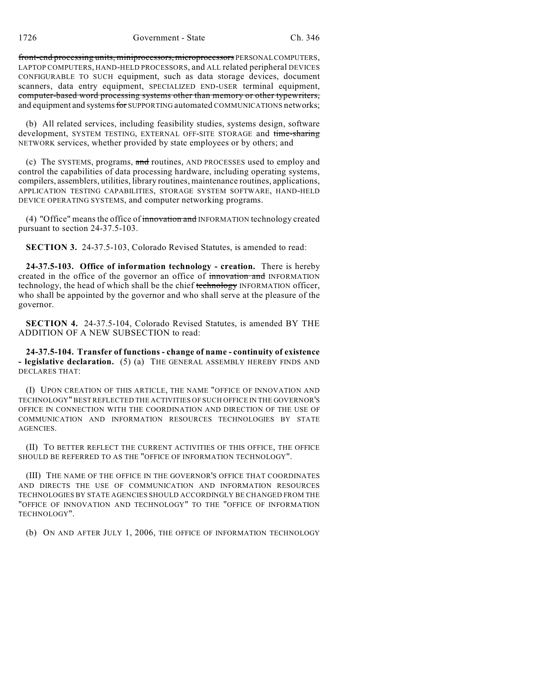front-end processing units, miniprocessors, microprocessors PERSONAL COMPUTERS, LAPTOP COMPUTERS, HAND-HELD PROCESSORS, and ALL related peripheral DEVICES CONFIGURABLE TO SUCH equipment, such as data storage devices, document scanners, data entry equipment, SPECIALIZED END-USER terminal equipment, computer-based word processing systems other than memory or other typewriters, and equipment and systems for SUPPORTING automated COMMUNICATIONS networks;

(b) All related services, including feasibility studies, systems design, software development, SYSTEM TESTING, EXTERNAL OFF-SITE STORAGE and time-sharing NETWORK services, whether provided by state employees or by others; and

(c) The SYSTEMS, programs, and routines, AND PROCESSES used to employ and control the capabilities of data processing hardware, including operating systems, compilers, assemblers, utilities, library routines, maintenance routines, applications, APPLICATION TESTING CAPABILITIES, STORAGE SYSTEM SOFTWARE, HAND-HELD DEVICE OPERATING SYSTEMS, and computer networking programs.

(4) "Office" means the office of innovation and INFORMATION technology created pursuant to section 24-37.5-103.

**SECTION 3.** 24-37.5-103, Colorado Revised Statutes, is amended to read:

**24-37.5-103. Office of information technology - creation.** There is hereby created in the office of the governor an office of innovation and INFORMATION technology, the head of which shall be the chief technology INFORMATION officer, who shall be appointed by the governor and who shall serve at the pleasure of the governor.

**SECTION 4.** 24-37.5-104, Colorado Revised Statutes, is amended BY THE ADDITION OF A NEW SUBSECTION to read:

**24-37.5-104. Transfer of functions - change of name - continuity of existence - legislative declaration.** (5) (a) THE GENERAL ASSEMBLY HEREBY FINDS AND DECLARES THAT:

(I) UPON CREATION OF THIS ARTICLE, THE NAME "OFFICE OF INNOVATION AND TECHNOLOGY" BEST REFLECTED THE ACTIVITIES OF SUCH OFFICE IN THE GOVERNOR'S OFFICE IN CONNECTION WITH THE COORDINATION AND DIRECTION OF THE USE OF COMMUNICATION AND INFORMATION RESOURCES TECHNOLOGIES BY STATE AGENCIES.

(II) TO BETTER REFLECT THE CURRENT ACTIVITIES OF THIS OFFICE, THE OFFICE SHOULD BE REFERRED TO AS THE "OFFICE OF INFORMATION TECHNOLOGY".

(III) THE NAME OF THE OFFICE IN THE GOVERNOR'S OFFICE THAT COORDINATES AND DIRECTS THE USE OF COMMUNICATION AND INFORMATION RESOURCES TECHNOLOGIES BY STATE AGENCIES SHOULD ACCORDINGLY BE CHANGED FROM THE "OFFICE OF INNOVATION AND TECHNOLOGY" TO THE "OFFICE OF INFORMATION TECHNOLOGY".

(b) ON AND AFTER JULY 1, 2006, THE OFFICE OF INFORMATION TECHNOLOGY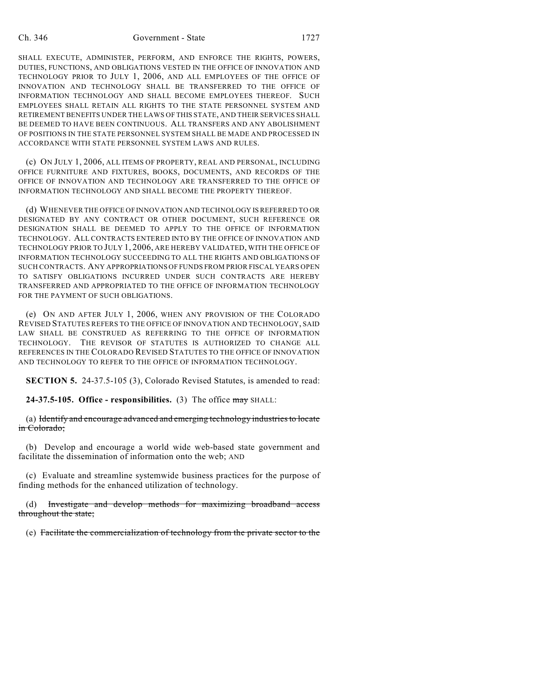SHALL EXECUTE, ADMINISTER, PERFORM, AND ENFORCE THE RIGHTS, POWERS, DUTIES, FUNCTIONS, AND OBLIGATIONS VESTED IN THE OFFICE OF INNOVATION AND TECHNOLOGY PRIOR TO JULY 1, 2006, AND ALL EMPLOYEES OF THE OFFICE OF INNOVATION AND TECHNOLOGY SHALL BE TRANSFERRED TO THE OFFICE OF INFORMATION TECHNOLOGY AND SHALL BECOME EMPLOYEES THEREOF. SUCH EMPLOYEES SHALL RETAIN ALL RIGHTS TO THE STATE PERSONNEL SYSTEM AND RETIREMENT BENEFITS UNDER THE LAWS OF THIS STATE, AND THEIR SERVICES SHALL BE DEEMED TO HAVE BEEN CONTINUOUS. ALL TRANSFERS AND ANY ABOLISHMENT OF POSITIONS IN THE STATE PERSONNEL SYSTEM SHALL BE MADE AND PROCESSED IN ACCORDANCE WITH STATE PERSONNEL SYSTEM LAWS AND RULES.

(c) ON JULY 1, 2006, ALL ITEMS OF PROPERTY, REAL AND PERSONAL, INCLUDING OFFICE FURNITURE AND FIXTURES, BOOKS, DOCUMENTS, AND RECORDS OF THE OFFICE OF INNOVATION AND TECHNOLOGY ARE TRANSFERRED TO THE OFFICE OF INFORMATION TECHNOLOGY AND SHALL BECOME THE PROPERTY THEREOF.

(d) WHENEVER THE OFFICE OF INNOVATION AND TECHNOLOGY IS REFERRED TO OR DESIGNATED BY ANY CONTRACT OR OTHER DOCUMENT, SUCH REFERENCE OR DESIGNATION SHALL BE DEEMED TO APPLY TO THE OFFICE OF INFORMATION TECHNOLOGY. ALL CONTRACTS ENTERED INTO BY THE OFFICE OF INNOVATION AND TECHNOLOGY PRIOR TO JULY 1, 2006, ARE HEREBY VALIDATED, WITH THE OFFICE OF INFORMATION TECHNOLOGY SUCCEEDING TO ALL THE RIGHTS AND OBLIGATIONS OF SUCH CONTRACTS. ANY APPROPRIATIONS OF FUNDS FROM PRIOR FISCAL YEARS OPEN TO SATISFY OBLIGATIONS INCURRED UNDER SUCH CONTRACTS ARE HEREBY TRANSFERRED AND APPROPRIATED TO THE OFFICE OF INFORMATION TECHNOLOGY FOR THE PAYMENT OF SUCH OBLIGATIONS.

(e) ON AND AFTER JULY 1, 2006, WHEN ANY PROVISION OF THE COLORADO REVISED STATUTES REFERS TO THE OFFICE OF INNOVATION AND TECHNOLOGY, SAID LAW SHALL BE CONSTRUED AS REFERRING TO THE OFFICE OF INFORMATION TECHNOLOGY. THE REVISOR OF STATUTES IS AUTHORIZED TO CHANGE ALL REFERENCES IN THE COLORADO REVISED STATUTES TO THE OFFICE OF INNOVATION AND TECHNOLOGY TO REFER TO THE OFFICE OF INFORMATION TECHNOLOGY.

**SECTION 5.** 24-37.5-105 (3), Colorado Revised Statutes, is amended to read:

**24-37.5-105. Office - responsibilities.** (3) The office may SHALL:

(a) Identify and encourage advanced and emerging technology industries to locate in Colorado;

(b) Develop and encourage a world wide web-based state government and facilitate the dissemination of information onto the web; AND

(c) Evaluate and streamline systemwide business practices for the purpose of finding methods for the enhanced utilization of technology.

(d) Investigate and develop methods for maximizing broadband access throughout the state;

(e) Facilitate the commercialization of technology from the private sector to the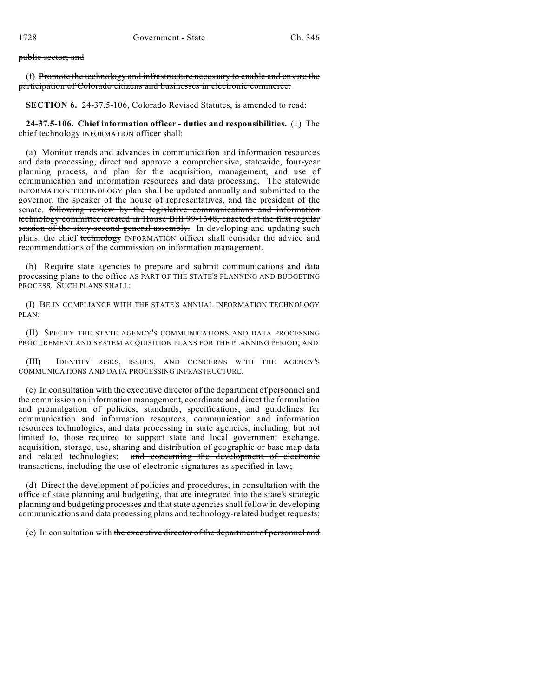## public sector; and

(f) Promote the technology and infrastructure necessary to enable and ensure the participation of Colorado citizens and businesses in electronic commerce.

**SECTION 6.** 24-37.5-106, Colorado Revised Statutes, is amended to read:

**24-37.5-106. Chief information officer - duties and responsibilities.** (1) The chief technology INFORMATION officer shall:

(a) Monitor trends and advances in communication and information resources and data processing, direct and approve a comprehensive, statewide, four-year planning process, and plan for the acquisition, management, and use of communication and information resources and data processing. The statewide INFORMATION TECHNOLOGY plan shall be updated annually and submitted to the governor, the speaker of the house of representatives, and the president of the senate. following review by the legislative communications and information technology committee created in House Bill 99-1348, enacted at the first regular session of the sixty-second general assembly. In developing and updating such plans, the chief technology INFORMATION officer shall consider the advice and recommendations of the commission on information management.

(b) Require state agencies to prepare and submit communications and data processing plans to the office AS PART OF THE STATE'S PLANNING AND BUDGETING PROCESS. SUCH PLANS SHALL:

(I) BE IN COMPLIANCE WITH THE STATE'S ANNUAL INFORMATION TECHNOLOGY PLAN;

(II) SPECIFY THE STATE AGENCY'S COMMUNICATIONS AND DATA PROCESSING PROCUREMENT AND SYSTEM ACQUISITION PLANS FOR THE PLANNING PERIOD; AND

(III) IDENTIFY RISKS, ISSUES, AND CONCERNS WITH THE AGENCY'S COMMUNICATIONS AND DATA PROCESSING INFRASTRUCTURE.

(c) In consultation with the executive director of the department of personnel and the commission on information management, coordinate and direct the formulation and promulgation of policies, standards, specifications, and guidelines for communication and information resources, communication and information resources technologies, and data processing in state agencies, including, but not limited to, those required to support state and local government exchange, acquisition, storage, use, sharing and distribution of geographic or base map data and related technologies; and concerning the development of electronic transactions, including the use of electronic signatures as specified in law;

(d) Direct the development of policies and procedures, in consultation with the office of state planning and budgeting, that are integrated into the state's strategic planning and budgeting processes and that state agencies shall follow in developing communications and data processing plans and technology-related budget requests;

(e) In consultation with the executive director of the department of personnel and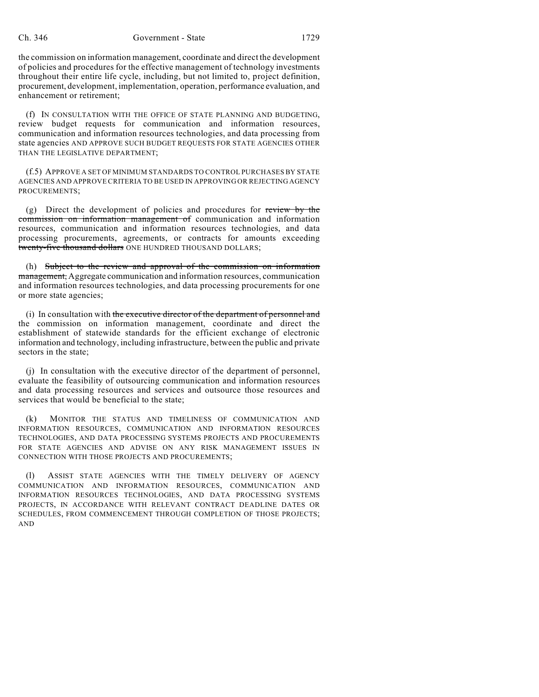the commission on information management, coordinate and direct the development of policies and procedures for the effective management of technology investments throughout their entire life cycle, including, but not limited to, project definition, procurement, development, implementation, operation, performance evaluation, and enhancement or retirement;

(f) IN CONSULTATION WITH THE OFFICE OF STATE PLANNING AND BUDGETING, review budget requests for communication and information resources, communication and information resources technologies, and data processing from state agencies AND APPROVE SUCH BUDGET REQUESTS FOR STATE AGENCIES OTHER THAN THE LEGISLATIVE DEPARTMENT;

(f.5) APPROVE A SET OF MINIMUM STANDARDS TO CONTROL PURCHASES BY STATE AGENCIES AND APPROVE CRITERIA TO BE USED IN APPROVING OR REJECTING AGENCY PROCUREMENTS;

(g) Direct the development of policies and procedures for review by the commission on information management of communication and information resources, communication and information resources technologies, and data processing procurements, agreements, or contracts for amounts exceeding twenty-five thousand dollars ONE HUNDRED THOUSAND DOLLARS;

(h) Subject to the review and approval of the commission on information management, Aggregate communication and information resources, communication and information resources technologies, and data processing procurements for one or more state agencies;

(i) In consultation with the executive director of the department of personnel and the commission on information management, coordinate and direct the establishment of statewide standards for the efficient exchange of electronic information and technology, including infrastructure, between the public and private sectors in the state;

(j) In consultation with the executive director of the department of personnel, evaluate the feasibility of outsourcing communication and information resources and data processing resources and services and outsource those resources and services that would be beneficial to the state;

(k) MONITOR THE STATUS AND TIMELINESS OF COMMUNICATION AND INFORMATION RESOURCES, COMMUNICATION AND INFORMATION RESOURCES TECHNOLOGIES, AND DATA PROCESSING SYSTEMS PROJECTS AND PROCUREMENTS FOR STATE AGENCIES AND ADVISE ON ANY RISK MANAGEMENT ISSUES IN CONNECTION WITH THOSE PROJECTS AND PROCUREMENTS;

ASSIST STATE AGENCIES WITH THE TIMELY DELIVERY OF AGENCY COMMUNICATION AND INFORMATION RESOURCES, COMMUNICATION AND INFORMATION RESOURCES TECHNOLOGIES, AND DATA PROCESSING SYSTEMS PROJECTS, IN ACCORDANCE WITH RELEVANT CONTRACT DEADLINE DATES OR SCHEDULES, FROM COMMENCEMENT THROUGH COMPLETION OF THOSE PROJECTS; AND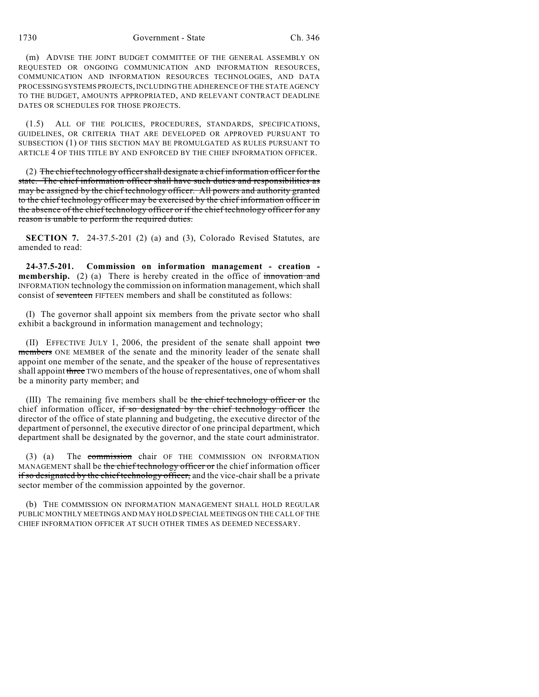(m) ADVISE THE JOINT BUDGET COMMITTEE OF THE GENERAL ASSEMBLY ON REQUESTED OR ONGOING COMMUNICATION AND INFORMATION RESOURCES, COMMUNICATION AND INFORMATION RESOURCES TECHNOLOGIES, AND DATA PROCESSING SYSTEMS PROJECTS, INCLUDING THE ADHERENCE OF THE STATE AGENCY TO THE BUDGET, AMOUNTS APPROPRIATED, AND RELEVANT CONTRACT DEADLINE DATES OR SCHEDULES FOR THOSE PROJECTS.

(1.5) ALL OF THE POLICIES, PROCEDURES, STANDARDS, SPECIFICATIONS, GUIDELINES, OR CRITERIA THAT ARE DEVELOPED OR APPROVED PURSUANT TO SUBSECTION (1) OF THIS SECTION MAY BE PROMULGATED AS RULES PURSUANT TO ARTICLE 4 OF THIS TITLE BY AND ENFORCED BY THE CHIEF INFORMATION OFFICER.

(2) The chief technology officer shall designate a chief information officer for the state. The chief information officer shall have such duties and responsibilities as may be assigned by the chief technology officer. All powers and authority granted to the chief technology officer may be exercised by the chief information officer in the absence of the chief technology officer or if the chief technology officer for any reason is unable to perform the required duties.

**SECTION 7.** 24-37.5-201 (2) (a) and (3), Colorado Revised Statutes, are amended to read:

**24-37.5-201. Commission on information management - creation membership.** (2) (a) There is hereby created in the office of innovation and INFORMATION technology the commission on information management, which shall consist of seventeen FIFTEEN members and shall be constituted as follows:

(I) The governor shall appoint six members from the private sector who shall exhibit a background in information management and technology;

(II) EFFECTIVE JULY 1, 2006, the president of the senate shall appoint two members ONE MEMBER of the senate and the minority leader of the senate shall appoint one member of the senate, and the speaker of the house of representatives shall appoint three TWO members of the house of representatives, one of whom shall be a minority party member; and

(III) The remaining five members shall be the chief technology officer or the chief information officer, if so designated by the chief technology officer the director of the office of state planning and budgeting, the executive director of the department of personnel, the executive director of one principal department, which department shall be designated by the governor, and the state court administrator.

(3) (a) The commission chair OF THE COMMISSION ON INFORMATION MANAGEMENT shall be the chief technology officer or the chief information officer if so designated by the chief technology officer, and the vice-chair shall be a private sector member of the commission appointed by the governor.

(b) THE COMMISSION ON INFORMATION MANAGEMENT SHALL HOLD REGULAR PUBLIC MONTHLY MEETINGS AND MAY HOLD SPECIAL MEETINGS ON THE CALL OF THE CHIEF INFORMATION OFFICER AT SUCH OTHER TIMES AS DEEMED NECESSARY.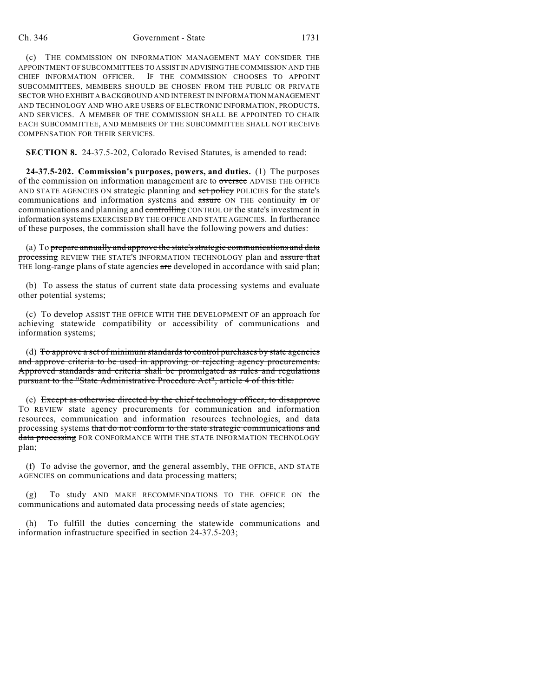## Ch. 346 Government - State 1731

(c) THE COMMISSION ON INFORMATION MANAGEMENT MAY CONSIDER THE APPOINTMENT OF SUBCOMMITTEES TO ASSIST IN ADVISING THE COMMISSION AND THE CHIEF INFORMATION OFFICER. IF THE COMMISSION CHOOSES TO APPOINT SUBCOMMITTEES, MEMBERS SHOULD BE CHOSEN FROM THE PUBLIC OR PRIVATE SECTOR WHO EXHIBIT A BACKGROUND AND INTEREST IN INFORMATION MANAGEMENT AND TECHNOLOGY AND WHO ARE USERS OF ELECTRONIC INFORMATION, PRODUCTS, AND SERVICES. A MEMBER OF THE COMMISSION SHALL BE APPOINTED TO CHAIR EACH SUBCOMMITTEE, AND MEMBERS OF THE SUBCOMMITTEE SHALL NOT RECEIVE COMPENSATION FOR THEIR SERVICES.

**SECTION 8.** 24-37.5-202, Colorado Revised Statutes, is amended to read:

**24-37.5-202. Commission's purposes, powers, and duties.** (1) The purposes of the commission on information management are to oversee ADVISE THE OFFICE AND STATE AGENCIES ON strategic planning and set policy POLICIES for the state's communications and information systems and assure ON THE continuity in OF communications and planning and controlling CONTROL OF the state's investment in information systems EXERCISED BY THE OFFICE AND STATE AGENCIES. In furtherance of these purposes, the commission shall have the following powers and duties:

(a) To prepare annually and approve the state's strategic communications and data processing REVIEW THE STATE'S INFORMATION TECHNOLOGY plan and assure that THE long-range plans of state agencies are developed in accordance with said plan;

(b) To assess the status of current state data processing systems and evaluate other potential systems;

(c) To develop ASSIST THE OFFICE WITH THE DEVELOPMENT OF an approach for achieving statewide compatibility or accessibility of communications and information systems;

(d) To approve a set of minimum standards to control purchases by state agencies and approve criteria to be used in approving or rejecting agency procurements. Approved standards and criteria shall be promulgated as rules and regulations pursuant to the "State Administrative Procedure Act", article 4 of this title.

(e) Except as otherwise directed by the chief technology officer, to disapprove TO REVIEW state agency procurements for communication and information resources, communication and information resources technologies, and data processing systems that do not conform to the state strategic communications and data processing FOR CONFORMANCE WITH THE STATE INFORMATION TECHNOLOGY plan;

(f) To advise the governor, and the general assembly, THE OFFICE, AND STATE AGENCIES on communications and data processing matters;

To study AND MAKE RECOMMENDATIONS TO THE OFFICE ON the communications and automated data processing needs of state agencies;

(h) To fulfill the duties concerning the statewide communications and information infrastructure specified in section 24-37.5-203;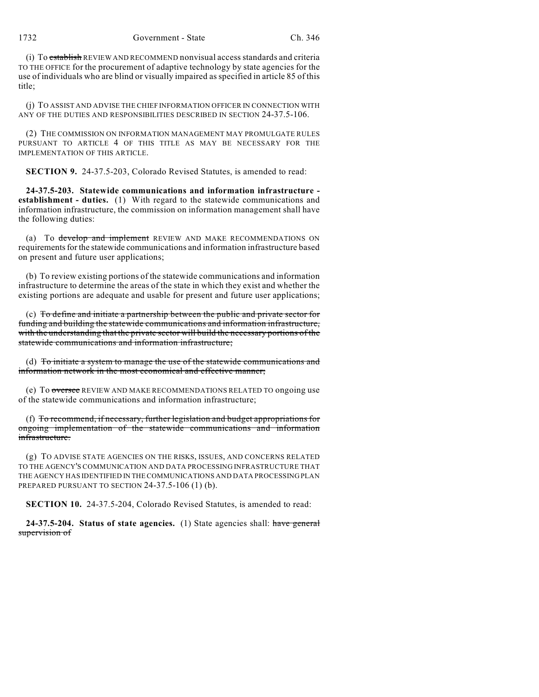(i) To establish REVIEW AND RECOMMEND nonvisual access standards and criteria TO THE OFFICE for the procurement of adaptive technology by state agencies for the use of individuals who are blind or visually impaired as specified in article 85 of this title;

(j) TO ASSIST AND ADVISE THE CHIEF INFORMATION OFFICER IN CONNECTION WITH ANY OF THE DUTIES AND RESPONSIBILITIES DESCRIBED IN SECTION 24-37.5-106.

(2) THE COMMISSION ON INFORMATION MANAGEMENT MAY PROMULGATE RULES PURSUANT TO ARTICLE 4 OF THIS TITLE AS MAY BE NECESSARY FOR THE IMPLEMENTATION OF THIS ARTICLE.

**SECTION 9.** 24-37.5-203, Colorado Revised Statutes, is amended to read:

**24-37.5-203. Statewide communications and information infrastructure establishment - duties.** (1) With regard to the statewide communications and information infrastructure, the commission on information management shall have the following duties:

(a) To develop and implement REVIEW AND MAKE RECOMMENDATIONS ON requirements for the statewide communications and information infrastructure based on present and future user applications;

(b) To review existing portions of the statewide communications and information infrastructure to determine the areas of the state in which they exist and whether the existing portions are adequate and usable for present and future user applications;

(c) To define and initiate a partnership between the public and private sector for funding and building the statewide communications and information infrastructure, with the understanding that the private sector will build the necessary portions of the statewide communications and information infrastructure;

(d) To initiate a system to manage the use of the statewide communications and information network in the most economical and effective manner;

(e) To oversee REVIEW AND MAKE RECOMMENDATIONS RELATED TO ongoing use of the statewide communications and information infrastructure;

(f) To recommend, if necessary, further legislation and budget appropriations for ongoing implementation of the statewide communications and information infrastructure.

(g) TO ADVISE STATE AGENCIES ON THE RISKS, ISSUES, AND CONCERNS RELATED TO THE AGENCY'S COMMUNICATION AND DATA PROCESSING INFRASTRUCTURE THAT THE AGENCY HAS IDENTIFIED IN THE COMMUNICATIONS AND DATA PROCESSING PLAN PREPARED PURSUANT TO SECTION 24-37.5-106 (1) (b).

**SECTION 10.** 24-37.5-204, Colorado Revised Statutes, is amended to read:

**24-37.5-204. Status of state agencies.** (1) State agencies shall: have general supervision of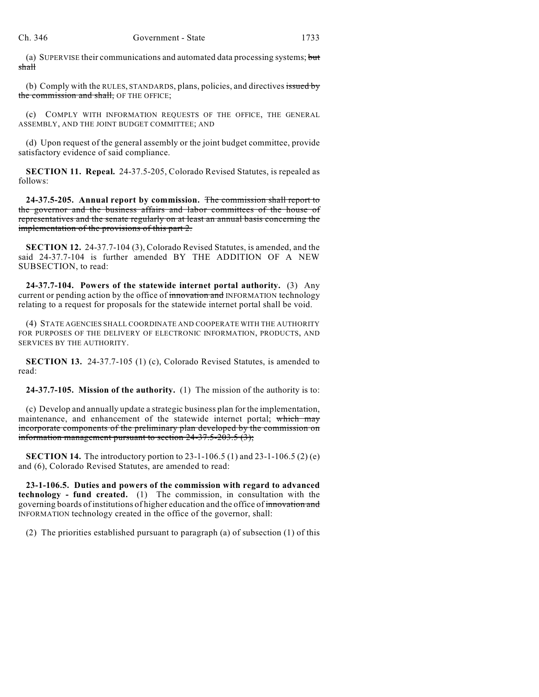(a) SUPERVISE their communications and automated data processing systems; but shall

(b) Comply with the RULES, STANDARDS, plans, policies, and directives issued by the commission and shall, OF THE OFFICE;

(c) COMPLY WITH INFORMATION REQUESTS OF THE OFFICE, THE GENERAL ASSEMBLY, AND THE JOINT BUDGET COMMITTEE; AND

(d) Upon request of the general assembly or the joint budget committee, provide satisfactory evidence of said compliance.

**SECTION 11. Repeal.** 24-37.5-205, Colorado Revised Statutes, is repealed as follows:

**24-37.5-205. Annual report by commission.** The commission shall report to the governor and the business affairs and labor committees of the house of representatives and the senate regularly on at least an annual basis concerning the implementation of the provisions of this part 2.

**SECTION 12.** 24-37.7-104 (3), Colorado Revised Statutes, is amended, and the said 24-37.7-104 is further amended BY THE ADDITION OF A NEW SUBSECTION, to read:

**24-37.7-104. Powers of the statewide internet portal authority.** (3) Any current or pending action by the office of innovation and INFORMATION technology relating to a request for proposals for the statewide internet portal shall be void.

(4) STATE AGENCIES SHALL COORDINATE AND COOPERATE WITH THE AUTHORITY FOR PURPOSES OF THE DELIVERY OF ELECTRONIC INFORMATION, PRODUCTS, AND SERVICES BY THE AUTHORITY.

**SECTION 13.** 24-37.7-105 (1) (c), Colorado Revised Statutes, is amended to read:

**24-37.7-105. Mission of the authority.** (1) The mission of the authority is to:

(c) Develop and annually update a strategic business plan for the implementation, maintenance, and enhancement of the statewide internet portal; which may incorporate components of the preliminary plan developed by the commission on information management pursuant to section 24-37.5-203.5 (3);

**SECTION 14.** The introductory portion to 23-1-106.5 (1) and 23-1-106.5 (2) (e) and (6), Colorado Revised Statutes, are amended to read:

**23-1-106.5. Duties and powers of the commission with regard to advanced technology - fund created.** (1) The commission, in consultation with the governing boards of institutions of higher education and the office of innovation and INFORMATION technology created in the office of the governor, shall:

(2) The priorities established pursuant to paragraph (a) of subsection (1) of this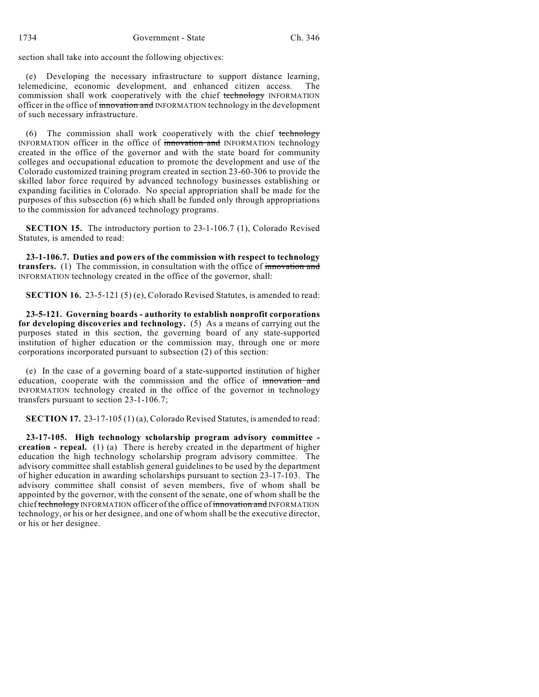section shall take into account the following objectives:

(e) Developing the necessary infrastructure to support distance learning, telemedicine, economic development, and enhanced citizen access. commission shall work cooperatively with the chief technology INFORMATION officer in the office of innovation and INFORMATION technology in the development of such necessary infrastructure.

(6) The commission shall work cooperatively with the chief technology INFORMATION officer in the office of innovation and INFORMATION technology created in the office of the governor and with the state board for community colleges and occupational education to promote the development and use of the Colorado customized training program created in section 23-60-306 to provide the skilled labor force required by advanced technology businesses establishing or expanding facilities in Colorado. No special appropriation shall be made for the purposes of this subsection (6) which shall be funded only through appropriations to the commission for advanced technology programs.

**SECTION 15.** The introductory portion to 23-1-106.7 (1), Colorado Revised Statutes, is amended to read:

**23-1-106.7. Duties and powers of the commission with respect to technology transfers.** (1) The commission, in consultation with the office of innovation and INFORMATION technology created in the office of the governor, shall:

**SECTION 16.** 23-5-121 (5) (e), Colorado Revised Statutes, is amended to read:

**23-5-121. Governing boards - authority to establish nonprofit corporations for developing discoveries and technology.** (5) As a means of carrying out the purposes stated in this section, the governing board of any state-supported institution of higher education or the commission may, through one or more corporations incorporated pursuant to subsection (2) of this section:

(e) In the case of a governing board of a state-supported institution of higher education, cooperate with the commission and the office of innovation and INFORMATION technology created in the office of the governor in technology transfers pursuant to section 23-1-106.7;

**SECTION 17.** 23-17-105 (1) (a), Colorado Revised Statutes, is amended to read:

**23-17-105. High technology scholarship program advisory committee creation - repeal.** (1) (a) There is hereby created in the department of higher education the high technology scholarship program advisory committee. The advisory committee shall establish general guidelines to be used by the department of higher education in awarding scholarships pursuant to section 23-17-103. The advisory committee shall consist of seven members, five of whom shall be appointed by the governor, with the consent of the senate, one of whom shall be the chief technology INFORMATION officer of the office of innovation and INFORMATION technology, or his or her designee, and one of whom shall be the executive director, or his or her designee.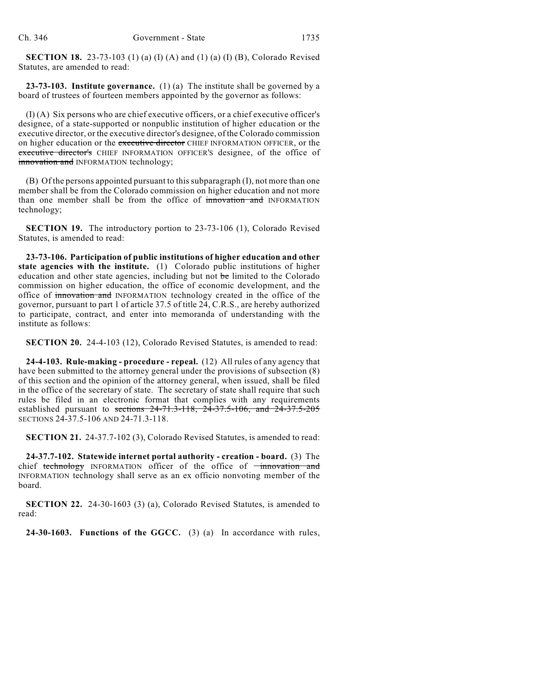**SECTION 18.** 23-73-103 (1) (a) (I) (A) and (1) (a) (I) (B), Colorado Revised Statutes, are amended to read:

**23-73-103. Institute governance.** (1) (a) The institute shall be governed by a board of trustees of fourteen members appointed by the governor as follows:

(I) (A) Six persons who are chief executive officers, or a chief executive officer's designee, of a state-supported or nonpublic institution of higher education or the executive director, or the executive director's designee, of the Colorado commission on higher education or the executive director CHIEF INFORMATION OFFICER, or the executive director's CHIEF INFORMATION OFFICER'S designee, of the office of innovation and INFORMATION technology;

(B) Of the persons appointed pursuant to this subparagraph (I), not more than one member shall be from the Colorado commission on higher education and not more than one member shall be from the office of innovation and INFORMATION technology;

**SECTION 19.** The introductory portion to 23-73-106 (1), Colorado Revised Statutes, is amended to read:

**23-73-106. Participation of public institutions of higher education and other state agencies with the institute.** (1) Colorado public institutions of higher education and other state agencies, including but not be limited to the Colorado commission on higher education, the office of economic development, and the office of innovation and INFORMATION technology created in the office of the governor, pursuant to part 1 of article 37.5 of title 24, C.R.S., are hereby authorized to participate, contract, and enter into memoranda of understanding with the institute as follows:

**SECTION 20.** 24-4-103 (12), Colorado Revised Statutes, is amended to read:

**24-4-103. Rule-making - procedure - repeal.** (12) All rules of any agency that have been submitted to the attorney general under the provisions of subsection (8) of this section and the opinion of the attorney general, when issued, shall be filed in the office of the secretary of state. The secretary of state shall require that such rules be filed in an electronic format that complies with any requirements established pursuant to sections  $24-71.3-118$ ,  $24-37.5-106$ , and  $24-37.5-205$ SECTIONS 24-37.5-106 AND 24-71.3-118.

**SECTION 21.** 24-37.7-102 (3), Colorado Revised Statutes, is amended to read:

**24-37.7-102. Statewide internet portal authority - creation - board.** (3) The chief technology INFORMATION officer of the office of  $\overline{\mathsf{improation}}$  and INFORMATION technology shall serve as an ex officio nonvoting member of the board.

**SECTION 22.** 24-30-1603 (3) (a), Colorado Revised Statutes, is amended to read:

**24-30-1603. Functions of the GGCC.** (3) (a) In accordance with rules,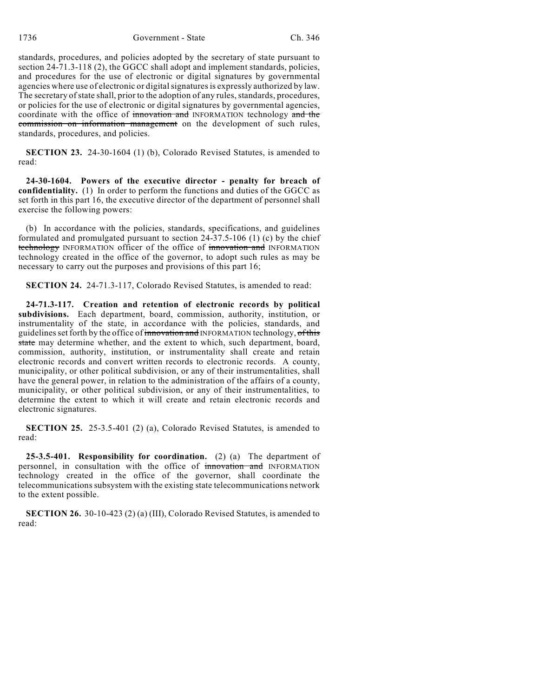standards, procedures, and policies adopted by the secretary of state pursuant to section 24-71.3-118 (2), the GGCC shall adopt and implement standards, policies, and procedures for the use of electronic or digital signatures by governmental agencies where use of electronic or digital signatures is expressly authorized by law. The secretary of state shall, prior to the adoption of any rules, standards, procedures, or policies for the use of electronic or digital signatures by governmental agencies, coordinate with the office of innovation and INFORMATION technology and the commission on information management on the development of such rules, standards, procedures, and policies.

**SECTION 23.** 24-30-1604 (1) (b), Colorado Revised Statutes, is amended to read:

**24-30-1604. Powers of the executive director - penalty for breach of confidentiality.** (1) In order to perform the functions and duties of the GGCC as set forth in this part 16, the executive director of the department of personnel shall exercise the following powers:

(b) In accordance with the policies, standards, specifications, and guidelines formulated and promulgated pursuant to section 24-37.5-106 (1) (c) by the chief technology INFORMATION officer of the office of innovation and INFORMATION technology created in the office of the governor, to adopt such rules as may be necessary to carry out the purposes and provisions of this part 16;

**SECTION 24.** 24-71.3-117, Colorado Revised Statutes, is amended to read:

**24-71.3-117. Creation and retention of electronic records by political subdivisions.** Each department, board, commission, authority, institution, or instrumentality of the state, in accordance with the policies, standards, and guidelines set forth by the office of innovation and INFORMATION technology, of this state may determine whether, and the extent to which, such department, board, commission, authority, institution, or instrumentality shall create and retain electronic records and convert written records to electronic records. A county, municipality, or other political subdivision, or any of their instrumentalities, shall have the general power, in relation to the administration of the affairs of a county, municipality, or other political subdivision, or any of their instrumentalities, to determine the extent to which it will create and retain electronic records and electronic signatures.

**SECTION 25.** 25-3.5-401 (2) (a), Colorado Revised Statutes, is amended to read:

**25-3.5-401. Responsibility for coordination.** (2) (a) The department of personnel, in consultation with the office of innovation and INFORMATION technology created in the office of the governor, shall coordinate the telecommunications subsystem with the existing state telecommunications network to the extent possible.

**SECTION 26.** 30-10-423 (2) (a) (III), Colorado Revised Statutes, is amended to read: